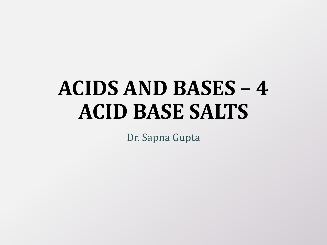# **ACIDS AND BASES – 4 ACID BASE SALTS**

Dr. Sapna Gupta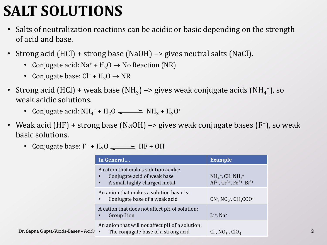### **SALT SOLUTIONS**

- Salts of neutralization reactions can be acidic or basic depending on the strength of acid and base.
- Strong acid (HCl) + strong base (NaOH) -> gives neutral salts (NaCl).
	- Conjugate acid:  $Na^+ + H_2O \rightarrow No$  Reaction (NR)
	- Conjugate base:  $Cl^- + H_2O \rightarrow NR$
- Strong acid (HCl) + weak base (NH<sub>3</sub>) -> gives weak conjugate acids (NH<sub>4</sub><sup>+</sup>), so weak acidic solutions.
	- Conjugate acid:  $NH_4^+ + H_2O \rightleftharpoons NH_3 + H_3O^+$
- Weak acid (HF) + strong base (NaOH) -> gives weak conjugate bases (F<sup>-</sup>), so weak basic solutions.
	- Conjugate base:  $F^- + H_2O$   $\longrightarrow$  HF + OH<sup>-</sup>

|                                       | In General                                                                                          | <b>Example</b>                                                                                                                                           |
|---------------------------------------|-----------------------------------------------------------------------------------------------------|----------------------------------------------------------------------------------------------------------------------------------------------------------|
|                                       | A cation that makes solution acidic:<br>Conjugate acid of weak base<br>A small highly charged metal | NH <sub>4</sub> <sup>+</sup> , CH <sub>3</sub> NH <sub>3</sub> <sup>+</sup><br>Al <sup>3+</sup> , Cr <sup>3+</sup> , Fe <sup>3+</sup> , Bi <sup>3+</sup> |
|                                       | An anion that makes a solution basic is:<br>Conjugate base of a weak acid                           | $CN^2$ , $NO_2^2$ , $CH_3COO^2$                                                                                                                          |
|                                       | A cation that does not affect pH of solution:<br>Group I ion                                        | $Li+$ , Na <sup>+</sup>                                                                                                                                  |
| Dr. Sapna Gupta/Acids-Bases - Acid/ • | An anion that will not affect pH of a solution:<br>The conjugate base of a strong acid              | Cl <sup>-</sup> , $NO_3^-$ , $ClO_4^-$                                                                                                                   |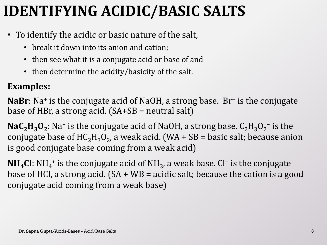## **IDENTIFYING ACIDIC/BASIC SALTS**

- To identify the acidic or basic nature of the salt,
	- break it down into its anion and cation;
	- then see what it is a conjugate acid or base of and
	- then determine the acidity/basicity of the salt.

#### **Examples:**

NaBr: Na<sup>+</sup> is the conjugate acid of NaOH, a strong base. Br<sup>-</sup> is the conjugate base of HBr, a strong acid.  $(SA+SB =$  neutral salt)

 $\textbf{NaC}_{2}\textbf{H}_{3}\textbf{O}_{2}$ : Na<sup>+</sup> is the conjugate acid of NaOH, a strong base.  $\text{C}_{2}\text{H}_{3}\text{O}_{2}^{-}$  is the conjugate base of  $\text{HC}_2\text{H}_3\text{O}_2$ , a weak acid. (WA + SB = basic salt; because anion is good conjugate base coming from a weak acid)

**NH<sub>4</sub>Cl**: NH<sub>4</sub><sup>+</sup> is the conjugate acid of NH<sub>3</sub>, a weak base. Cl<sup>−</sup> is the conjugate base of HCl, a strong acid.  $(SA + WB =$  acidic salt; because the cation is a good conjugate acid coming from a weak base)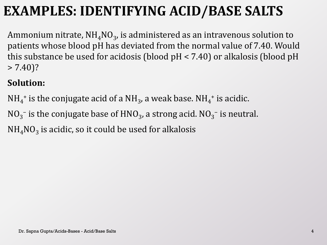### **EXAMPLES: IDENTIFYING ACID/BASE SALTS**

Ammonium nitrate, NH $_{\rm 4}$ NO $_{\rm 3}$ , is administered as an intravenous solution to patients whose blood pH has deviated from the normal value of 7.40. Would this substance be used for acidosis (blood pH < 7.40) or alkalosis (blood pH  $> 7.40$ ?

#### **Solution:**

- $\mathrm{NH}_4{}^+$  is the conjugate acid of a  $\mathrm{NH}_3$ , a weak base.  $\mathrm{NH}_4{}^+$  is acidic.
- $NO_3^-$  is the conjugate base of  $HNO_3$ , a strong acid.  $NO_3^-$  is neutral.

 $\mathrm{NH}_4\mathrm{NO}_3$  is acidic, so it could be used for alkalosis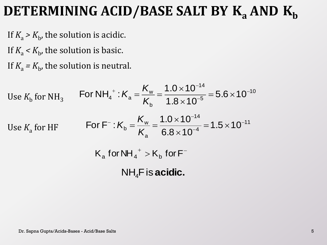### **DETERMINING ACID/BASE SALT BY K<sub>a</sub> AND K<sub>b</sub>**

If  $K_a > K_b$ , the solution is acidic.

If  $K_a < K_b$ , the solution is basic.

If  $K_a = K_b$ , the solution is neutral.

Use 
$$
K_b
$$
 for NH<sub>3</sub>   
\nFor NH<sub>4</sub><sup>+</sup> :  $K_a = \frac{K_w}{K_b} = \frac{1.0 \times 10^{-14}}{1.8 \times 10^{-5}} = 5.6 \times 10^{-10}$   
\nUse  $K_a$  for HF   
\nFor F<sup>-</sup> :  $K_b = \frac{K_w}{K_a} = \frac{1.0 \times 10^{-14}}{6.8 \times 10^{-4}} = 1.5 \times 10^{-11}$   
\n $K_a$  for NH<sub>4</sub><sup>+</sup> >  $K_b$  for F<sup>-</sup>  
\nNH<sub>4</sub>F is **acidic.**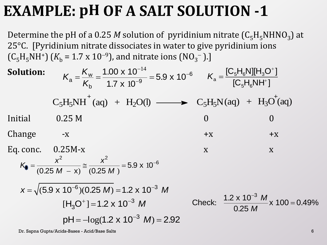### **EXAMPLE: pH OF A SALT SOLUTION -1**

Determine the pH of a 0.25  $M$  solution of pyridinium nitrate  $(C_5H_5NHNO_3)$  at 25°C. [Pyridinium nitrate dissociates in water to give pyridinium ions  $(C_5H_5NH^+)$  ( $K_b = 1.7 \times 10^{-9}$ ), and nitrate ions (NO<sub>3</sub><sup>-</sup>).] dis<br> $\binom{3}{2}$ , a<br> $\frac{100}{4.7}$ trate dissociates in water<br>
10<sup>-9</sup>), and nitrate ions (N<br>  $\frac{10^{-9}}{1.7 \times 10^{-9}}$  = 5.9 x 10<sup>-14</sup>

**Solution:**  $Initial \t 0.25 M \t 0$ Change  $-x$   $+x$   $+x$ Eq. conc.  $0.25M-x$  x x x  $[C_{5}H_{6}NH^{+}]$  $[C_{5}H_{6}N][H_{3}O^{+}]$ 5' '6 5**' 5' 3** 3  $a = \sqrt{\frac{1}{2} m^2}$  $^{+}$  $K<sub>a</sub> =$  $C_5H_5NH^+(aq) + H_2O(l) \longrightarrow C_5H_5N(aq) + H_3O^+(aq)$ 14 . v<br>io<br>.9 ., and<br>00 x 1<br>.7 x 10  $-\epsilon$ um nitrate dissociates in water to<br>
1.7 x 10<sup>-9</sup>), and nitrate ions (NO<br>
<sub>a</sub> =  $\frac{K_{w}}{K_{b}} = \frac{1.00 \times 10^{-14}}{1.7 \times 10^{-9}} = 5.9 \times 10^{-6}$ <sup>9</sup>), and n<br><u>.00 x 10</u><br>1.7 x 10 *K K K*  $.9 \times 10$ c. 0.25M-x<br> $\frac{x^2}{(0.25 M - x)} \approx \frac{x^2}{(0.25 M)}$ ge -x<br>
nc. 0.25M-x<br>  $= \frac{x^2}{(0.25 M - x)} \approx \frac{x^2}{(0.25 M)} = 5.9 \times 10^{-6}$ -x<br>.25M-x<br> $x^2$  -5.9 x 10<sup>-6</sup> ge -x<br>
onc. 0.25M-x<br>  $\vec{r} = \frac{x^2}{(0.25 M - x)} \approx \frac{x^2}{(0.25 M)} = 5.9 \times 10^{-10}$ . 0.25M-x<br> $\frac{x^2}{0.25 M - x} \approx \frac{x^2}{(0.25 M - x)^2}$ ange -x<br>
conc. 0.25M-x<br>  $K_0 = \frac{x^2}{(0.25 M - x)} \approx \frac{x^2}{(0.25 M - x)}$  $\frac{x^2}{M - x} \approx \frac{x^2}{(0.25 M)}$  $\overline{(10^{-6})(0.25 \text{ M})}$  = 1.2 x 1<br>[H<sub>3</sub>O<sup>+</sup>] = 1.2 x 10<sup>-3</sup> M  $[H_3O^+] = 1.2 \times 10^{-3}$  M  $(D_{1}U)(0.25 \text{ W}) = 1.2 \times 10 \text{ W}$ <br>  $[H_{3}O^{+}] = 1.2 \times 10^{-3} \text{ W}$  C<br>  $pH = -\log(1.2 \times 10^{-3} \text{ W}) = 2.92$  $K_0 = \frac{x^2}{(0.25 M - x)} \approx \frac{x^2}{(0.25 M)} = 5.9 \times 10^{-6}$ <br>  $x = \sqrt{(5.9 \times 10^{-6})(0.25 M)} = 1.2 \times 10^{-3} M$ <br>  $[H_3O^+] = 1.2 \times 10^{-3} M$  Check:  $\frac{1.2}{1.2 M}$  $\frac{1.2 \times 10^{10}}{0.05 \times 10^{10}}$  x 100 = 0.4  $\frac{1}{25}$  $\prec$  $=$ Check:  $\frac{1.2 \times 10^{-3} M}{0.25 M} \times 100 = 0.49\%$  $x 10$ <br>0.25 *M M*

Dr. Sapna Gupta/Acids-Bases - Acid/Base Salts 6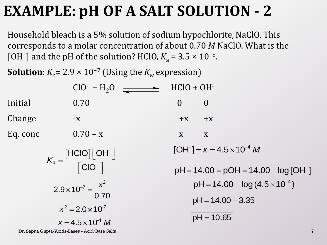### **EXAMPLE: pH OF A SALT SOLUTION - 2**

Household bleach is a 5% solution of sodium hypochlorite, NaClO. This corresponds to a molar concentration of about 0.70 *M* NaClO. What is the [OH<sup>-</sup>] and the pH of the solution? HClO,  $K_a = 3.5 \times 10^{-8}$ .

**Solution**:  $K_b$ = 2.9 × 10<sup>-7</sup> (Using the  $K_w$  expression)

|          | $ClO^{-} + H_{2}O^{-}$                                   | $HClO + OH$    |                                                                                  |
|----------|----------------------------------------------------------|----------------|----------------------------------------------------------------------------------|
| Initial  | 0.70                                                     | $\overline{0}$ | $\overline{0}$                                                                   |
| Change   | $-X$                                                     | $+X$           | $+X$                                                                             |
| Eq. conc | $0.70 - x$                                               | X              | X                                                                                |
|          | $K_b = \frac{[HClO][OH^-]}{[ClO^-]}$                     |                | $[OH^-] = x = 4.5 \times 10^{-4} M$<br>$pH = 14.00 = pOH = 14.00 - log [OH^{-}]$ |
|          | $2.9 \times 10^{-7} = \frac{x^2}{0.70}$                  |                | $pH = 14.00 - log(4.5 \times 10^{-4})$<br>$pH = 14.00 - 3.35$                    |
|          | $x^2 = 2.0 \times 10^{-7}$<br>$x = 4.5 \times 10^{-4} M$ |                | $pH = 10.65$                                                                     |

Dr. Sapna Gupta/Acids-Bases - Acid/Base Salts 7